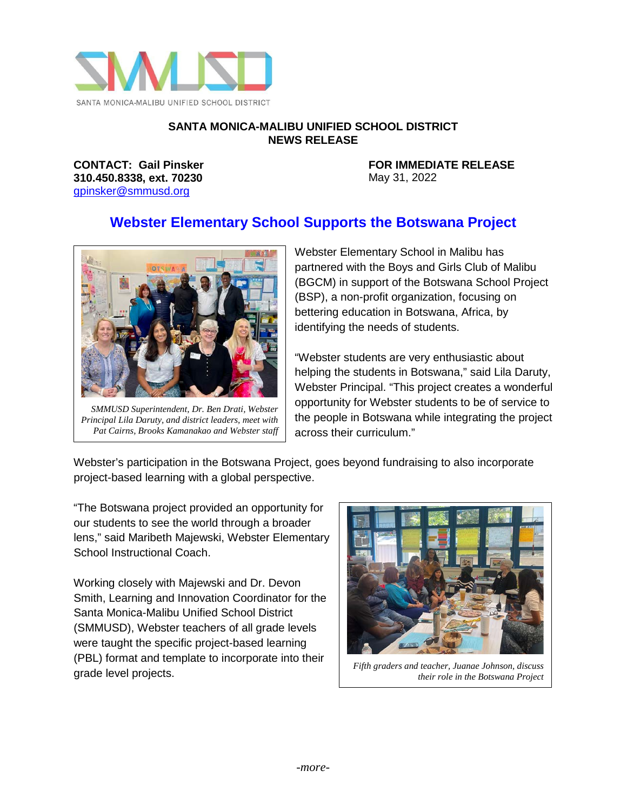

## **SANTA MONICA-MALIBU UNIFIED SCHOOL DISTRICT NEWS RELEASE**

**310.450.8338, ext. 70230** May 31, 2022 [gpinsker@smmusd.org](mailto:gpinsker@smmusd.org)

**CONTACT: Gail Pinsker FOR IMMEDIATE RELEASE**

## **Webster Elementary School Supports the Botswana Project**



*SMMUSD Superintendent, Dr. Ben Drati, Webster Principal Lila Daruty, and district leaders, meet with Pat Cairns, Brooks Kamanakao and Webster staff*

Webster Elementary School in Malibu has partnered with the Boys and Girls Club of Malibu (BGCM) in support of the Botswana School Project (BSP), a non-profit organization, focusing on bettering education in Botswana, Africa, by identifying the needs of students.

"Webster students are very enthusiastic about helping the students in Botswana," said Lila Daruty, Webster Principal. "This project creates a wonderful opportunity for Webster students to be of service to the people in Botswana while integrating the project across their curriculum."

Webster's participation in the Botswana Project, goes beyond fundraising to also incorporate project-based learning with a global perspective.

"The Botswana project provided an opportunity for our students to see the world through a broader lens," said Maribeth Majewski, Webster Elementary School Instructional Coach.

Working closely with Majewski and Dr. Devon Smith, Learning and Innovation Coordinator for the Santa Monica-Malibu Unified School District (SMMUSD), Webster teachers of all grade levels were taught the specific project-based learning (PBL) format and template to incorporate into their grade level projects.



*Fifth graders and teacher, Juanae Johnson, discuss their role in the Botswana Project*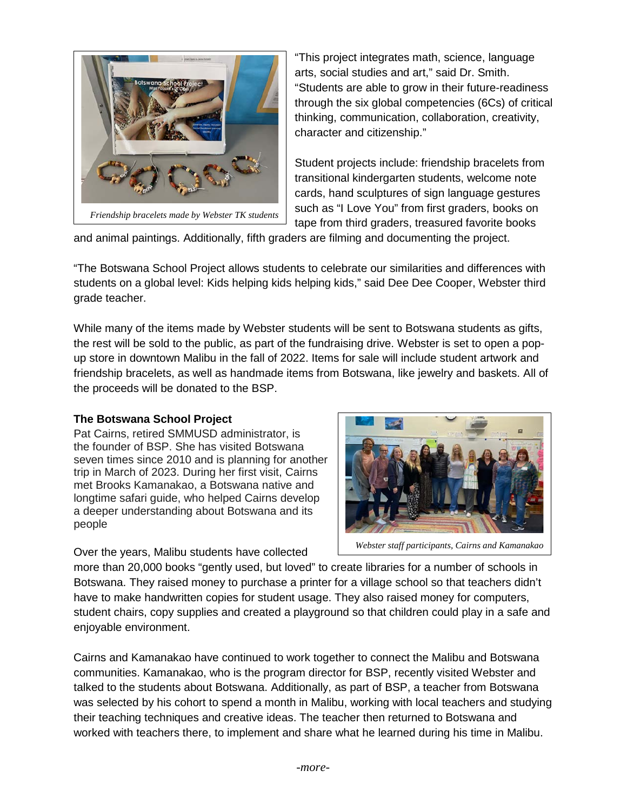

"This project integrates math, science, language arts, social studies and art," said Dr. Smith. "Students are able to grow in their future-readiness through the six global competencies (6Cs) of critical thinking, communication, collaboration, creativity, character and citizenship."

Student projects include: friendship bracelets from transitional kindergarten students, welcome note cards, hand sculptures of sign language gestures such as "I Love You" from first graders, books on tape from third graders, treasured favorite books

and animal paintings. Additionally, fifth graders are filming and documenting the project.

"The Botswana School Project allows students to celebrate our similarities and differences with students on a global level: Kids helping kids helping kids," said Dee Dee Cooper, Webster third grade teacher.

While many of the items made by Webster students will be sent to Botswana students as gifts, the rest will be sold to the public, as part of the fundraising drive. Webster is set to open a popup store in downtown Malibu in the fall of 2022. Items for sale will include student artwork and friendship bracelets, as well as handmade items from Botswana, like jewelry and baskets. All of the proceeds will be donated to the BSP.

## **The Botswana School Project**

Pat Cairns, retired SMMUSD administrator, is the founder of BSP. She has visited Botswana seven times since 2010 and is planning for another trip in March of 2023. During her first visit, Cairns met Brooks Kamanakao, a Botswana native and longtime safari guide, who helped Cairns develop a deeper understanding about Botswana and its people

Over the years, Malibu students have collected



*Webster staff participants, Cairns and Kamanakao*

more than 20,000 books "gently used, but loved" to create libraries for a number of schools in Botswana. They raised money to purchase a printer for a village school so that teachers didn't have to make handwritten copies for student usage. They also raised money for computers, student chairs, copy supplies and created a playground so that children could play in a safe and enjoyable environment.

Cairns and Kamanakao have continued to work together to connect the Malibu and Botswana communities. Kamanakao, who is the program director for BSP, recently visited Webster and talked to the students about Botswana. Additionally, as part of BSP, a teacher from Botswana was selected by his cohort to spend a month in Malibu, working with local teachers and studying their teaching techniques and creative ideas. The teacher then returned to Botswana and worked with teachers there, to implement and share what he learned during his time in Malibu.